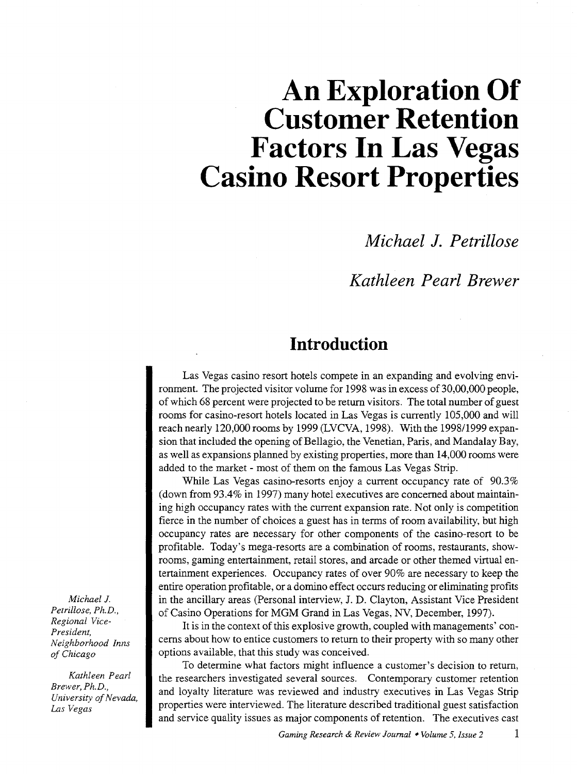# **An Exploration Of Customer Retention Factors In Las Vegas Casino Resort Properties**

*Michael* **J.** *Petrillose* 

### *Kathleen Pearl Brewer*

### **Introduction**

Las Vegas casino resort hotels compete in an expanding and evolving environment. The projected visitor volume for 1998 was in excess of 30,00,000 people, of which 68 percent were projected to be return visitors. The total number of guest rooms for casino-resort hotels located in Las Vegas is currently 105,000 and will reach nearly 120,000 rooms by 1999 (LVCVA, 1998). With the 1998/1999 expansion that included the opening of Bellagio, the Venetian, Paris, and Mandalay Bay, as well as expansions planned by existing properties, more than 14,000 rooms were added to the market - most of them on the famous Las Vegas Strip.

While Las Vegas casino-resorts enjoy a current occupancy rate of 90.3% (down from 93.4% in 1997) many hotel executives are concerned about maintaining high occupancy rates with the current expansion rate. Not only is competition fierce in the number of choices a guest has in terms of room availability, but high occupancy rates are necessary for other components of the casino-resort to be profitable. Today's mega-resorts are a combination of rooms, restaurants, showrooms, gaming entertainment, retail stores, and arcade or other themed virtual entertainment experiences. Occupancy rates of over 90% are necessary to keep the entire operation profitable, or a domino effect occurs reducing or eliminating profits in the ancillary areas (Personal interview, J.D. Clayton, Assistant Vice President of Casino Operations for MGM Grand in Las Vegas, NV, December, 1997).

It is in the context of this explosive growth, coupled with managements' concerns about how to entice customers to return to their property with so many other options available, that this study was conceived.

To determine what factors might influence a customer's decision to return, the researchers investigated several sources. Contemporary customer retention and loyalty literature was reviewed and industry executives in Las Vegas Strip properties were interviewed. The literature described traditional guest satisfaction and service quality issues as major components of retention. The executives cast

*Michael* J. *Petrillose, Ph.D., Regional Vice-President, Neighborhood Inns of Chicago* 

*Kathleen Pearl Brewer, Ph.D., University of Nevada, Las Vegas*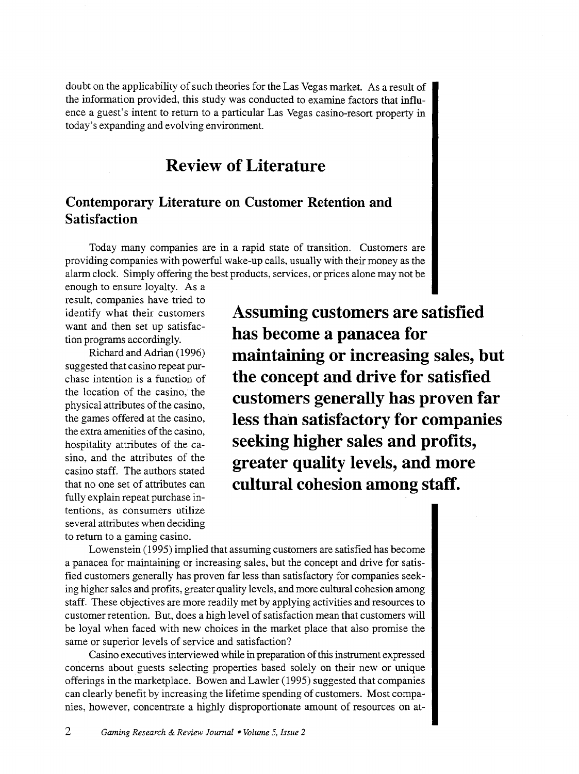doubt on the applicability of such theories for the Las Vegas market. As a result of the information provided, this study was conducted to examine factors that influence a guest's intent to return to a particular Las Vegas casino-resort property in today's expanding and evolving environment.

### **Review of Literature**

### **Contemporary Literature on Customer Retention and Satisfaction**

Today many companies are in a rapid state of transition. Customers are providing companies with powerful wake-up calls, usually with their money as the alarm clock. Simply offering the best products, services, or prices alone may not be

enough to ensure loyalty. As a result, companies have tried to identify what their customers want and then set up satisfaction programs accordingly.

Richard and Adrian (1996) suggested that casino repeat purchase intention is a function of the location of the casino, the physical attributes of the casino, the games offered at the casino, the extra amenities of the casino, hospitality attributes of the casino, and the attributes of the casino staff. The authors stated that no one set of attributes can fully explain repeat purchase intentions, as consumers utilize several attributes when deciding to return to a gaming casino.

**Assuming customers are satisfied has become a panacea for maintaining or increasing sales, but the concept and drive for satisfied customers generally has proven far less than satisfactory for companies seeking higher sales and profits, greater quality levels, and more cultural cohesion among staff.** 

Lowenstein (1995) implied that assuming customers are satisfied has become a panacea for maintaining or increasing sales, but the concept and drive for satisfied customers generally has proven far less than satisfactory for companies seeking higher sales and profits, greater quality levels, and more cultural cohesion among staff. These objectives are more readily met by applying activities and resources to customer retention. But, does a high level of satisfaction mean that customers will be loyal when faced with new choices in the market place that also promise the same or superior levels of service and satisfaction?

Casino executives interviewed while in preparation of this instrument expressed concerns about guests selecting properties based solely on their new or unique offerings in the marketplace. Bowen and Lawler ( 1995) suggested that companies can clearly benefit by increasing the lifetime spending of customers. Most companies, however, concentrate a highly disproportionate amount of resources on at-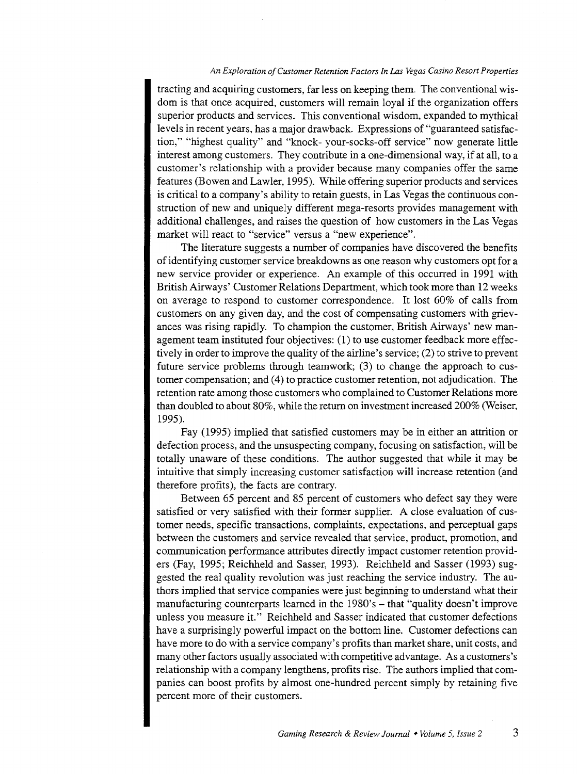#### *An Exploration of Customer Retention Factors In Las Vegas Casino Resort Properties*

tracting and acquiring customers, far less on keeping them. The conventional wisdom is that once acquired, customers will remain loyal if the organization offers superior products and services. This conventional wisdom, expanded to mythical levels in recent years, has a major drawback. Expressions of "guaranteed satisfaction," "highest quality" and "knock- your-socks-off service" now generate little interest among customers. They contribute in a one-dimensional way, if at all, to a customer's relationship with a provider because many companies offer the same features (Bowen and Lawler, 1995). While offering superior products and services is critical to a company's ability to retain guests, in Las Vegas the continuous construction of new and uniquely different mega-resorts provides management with additional challenges, and raises the question of how customers in the Las Vegas market will react to "service" versus a "new experience".

The literature suggests a number of companies have discovered the benefits of identifying customer service breakdowns as one reason why customers opt for a new service provider or experience. An example of this occurred in 1991 with British Airways' Customer Relations Department, which took more than 12 weeks on average to respond to customer correspondence. It lost 60% of calls from customers on any given day, and the cost of compensating customers with grievances was rising rapidly. To champion the customer, British Airways' new management team instituted four objectives: **(1)** to use customer feedback more effectively **in** order to improve the quality of the airline's service; (2) to strive to prevent future service problems through teamwork; (3) to change the approach to customer compensation; and  $(4)$  to practice customer retention, not adjudication. The retention rate among those customers who complained to Customer Relations more than doubled to about 80%, while the return on investment increased 200% (Weiser, 1995).

Fay (1995) implied that satisfied customers may be in either an attrition or defection process, and the unsuspecting company, focusing on satisfaction, will be totally unaware of these conditions. The author suggested that while it may be intuitive that simply increasing customer satisfaction will increase retention (and therefore profits), the facts are contrary.

Between 65 percent and 85 percent of customers who defect say they were satisfied or very satisfied with their former supplier. A close evaluation of customer needs, specific transactions, complaints, expectations, and perceptual gaps between the customers and service revealed that service, product, promotion, and communication performance attributes directly impact customer retention providers (Fay, 1995; Reichheld and Sasser, 1993). Reichheld and Sasser (1993) suggested the real quality revolution was just reaching the service industry. The authors implied that service companies were just beginning to understand what their manufacturing counterparts learned in the 1980's – that "quality doesn't improve unless you measure it." Reichheld and Sasser indicated that customer defections have a surprisingly powerful impact on the bottom line. Customer defections can have more to do with a service company's profits than market share, unit costs, and many other factors usually associated with competitive advantage. As a customers's relationship with a company lengthens, profits rise. The authors implied that companies can boost profits by almost one-hundred percent simply by retaining five percent more of their customers.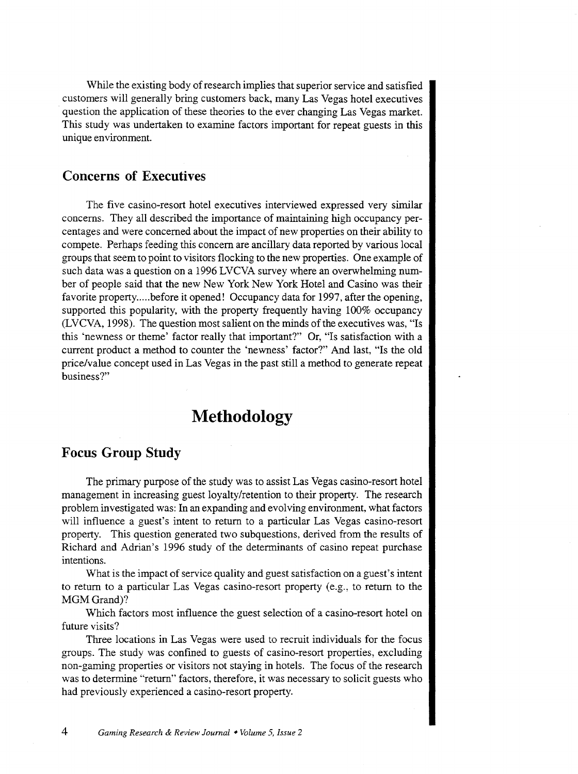While the existing body of research implies that superior service and satisfied customers will generally bring customers back, many Las Vegas hotel executives question the application of these theories to the ever changing Las Vegas market. This study was undertaken to examine factors important for repeat guests in this unique environment.

#### **Concerns of Executives**

The five casino-resort hotel executives interviewed expressed very similar concerns. They all described the importance of maintaining high occupancy percentages and were concerned about the impact of new properties on their ability to compete. Perhaps feeding this concern are ancillary data reported by various local groups that seem to point to visitors flocking to the new properties. One example of such data was a question on a 1996 LVCVA survey where an overwhelming number of people said that the new New York New York Hotel and Casino was their favorite property..... before it opened! Occupancy data for 1997, after the opening, supported this popularity, with the property frequently having 100% occupancy (LVCVA, 1998). The question most salient on the minds of the executives was, "Is this 'newness or theme' factor really that important?" Or, "Is satisfaction with a current product a method to counter the 'newness' factor?" And last, "Is the old price/value concept used in Las Vegas in the past still a method to generate repeat business?"

### **Methodology**

#### **Focus Group Study**

The primary purpose of the study was to assist Las Vegas casino-resort hotel management in increasing guest loyalty/retention to their property. The research problem investigated was: In an expanding and evolving environment, what factors will influence a guest's intent to return to a particular Las Vegas casino-resort property. This question generated two subquestions, derived from the results of Richard and Adrian's 1996 study of the determinants of casino repeat purchase intentions.

What is the impact of service quality and guest satisfaction on a guest's intent to return to a particular Las Vegas casino-resort property (e.g., to return to the MGM Grand)?

Which factors most influence the guest selection of a casino-resort hotel on future visits?

Three locations in Las Vegas were used to recruit individuals for the focus groups. The study was confined to guests of casino-resort properties, excluding non-gaming properties or visitors not staying in hotels. The focus of the research was to determine "return" factors, therefore, it was necessary to solicit guests who had previously experienced a casino-resort property.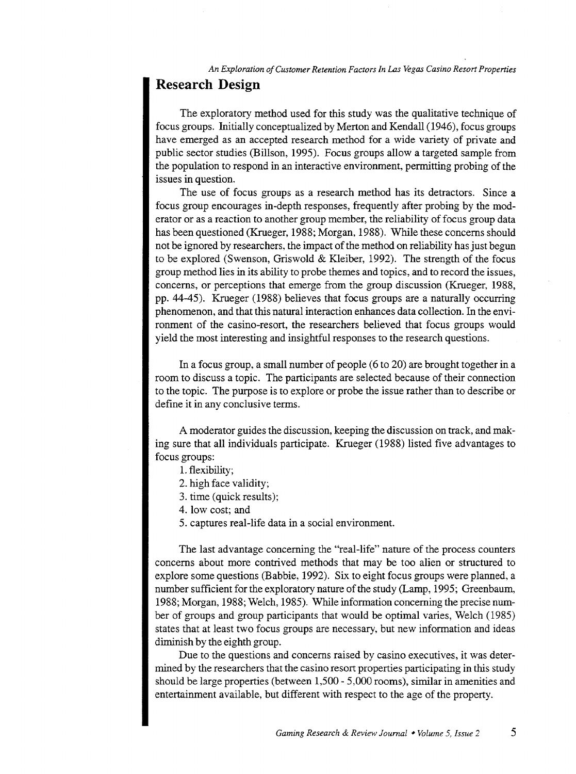*An Exploration of Customer Retention Factors In Las Vegas Casino Resort Properties* 

### **Research Design**

The exploratory method used for this study was the qualitative technique of focus groups. Initially conceptualized by Merton and Kendall (1946), focus groups have emerged as an accepted research method for a wide variety of private and public sector studies (Billson, 1995). Focus groups allow a targeted sample from the population to respond in an interactive environment, permitting probing of the issues in question.

The use of focus groups as a research method has its detractors. Since a focus group encourages in-depth responses, frequently after probing by the moderator or as a reaction to another group member, the reliability of focus group data has been questioned (Krueger, 1988; Morgan, 1988). While these concerns should not be ignored by researchers, the impact of the method on reliability has just begun to be explored (Swenson, Griswold & Kleiber, 1992). The strength of the focus group method lies in its ability to probe themes and topics, and to record the issues, concerns, or perceptions that emerge from the group discussion (Krueger, 1988, pp. 44-45). Krueger (1988) believes that focus groups are a naturally occurring phenomenon, and that this natural interaction enhances data collection. In the environment of the casino-resort, the researchers believed that focus groups would yield the most interesting and insightful responses to the research questions.

In a focus group, a small number of people (6 to 20) are brought together in a room to discuss a topic. The participants are selected because of their connection to the topic. The purpose is to explore or probe the issue rather than to describe or define it in any conclusive terms.

A moderator guides the discussion, keeping the discussion on track, and making sure that all individuals participate. Krueger (1988) listed five advantages to focus groups:

- 1. flexibility;
- 2. high face validity;
- 3. time (quick results);
- 4. low cost; and
- 5. captures real-life data in a social environment.

The last advantage concerning the "real-life" nature of the process counters concerns about more contrived methods that may be too alien or structured to explore some questions (Babbie, 1992). Six to eight focus groups were planned, a number sufficient for the exploratory nature of the study (Lamp, 1995; Greenbaum, 1988; Morgan, 1988; Welch, 1985). While information concerning the precise number of groups and group participants that would be optimal varies, Welch (1985) states that at least two focus groups are necessary, but new information and ideas diminish by the eighth group.

Due to the questions and concerns raised by casino executives, it was determined by the researchers that the casino resort properties participating in this study should be large properties (between 1,500-5,000 rooms), similar in amenities and entertainment available, but different with respect to the age of the property.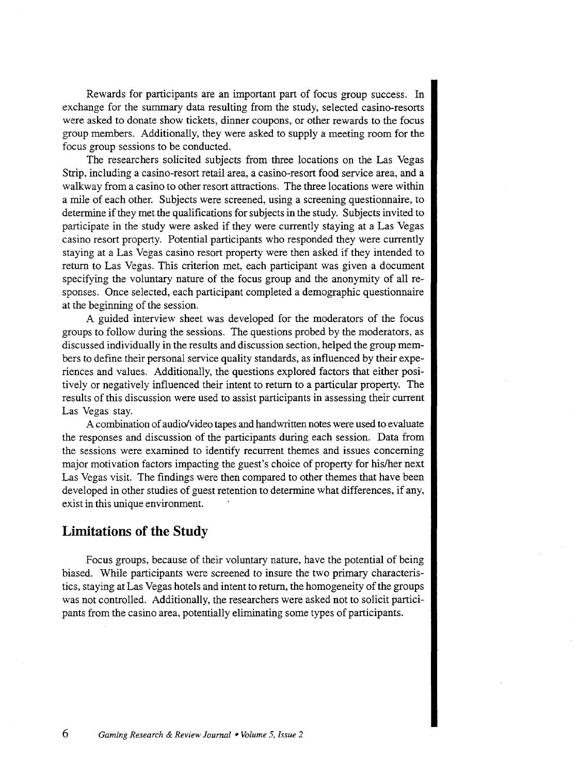Rewards for participants are an important part of focus group success. In exchange for the summary data resulting from the study, selected casino-resorts were asked to donate show tickets, dinner coupons, or other rewards to the focus group members. Additionally, they were asked to supply a meeting room for the focus group sessions to be conducted.

The researchers solicited subjects from three locations on the Las Vegas Strip, including a casino-resort retail area, a casino-resort food service area, and a walkway from a casino to other resort attractions. The three locations were within a mile of each other. Subjects were screened, using a screening questionnaire, to determine if they met the qualifications for subjects in the study. Subjects invited to participate in the study were asked if they were currently staying at a Las Vegas casino resort property. Potential participants who responded they were currently staying at a Las Vegas casino resort property were then asked if they intended to return to Las Vegas. This criterion met, each participant was given a document specifying the voluntary nature of the focus group and the anonymity of all responses. Once selected, each participant completed a demographic questionnaire at the beginning of the session.

A guided interview sheet was developed for the moderators of the focus groups to follow during the sessions. The questions probed by the moderators, as discussed individually in the results and discussion section, helped the group members to define their personal service quality standards, as influenced by their experiences and values. Additionally, the questions explored factors that either positively or negatively influenced their intent to return to a particular property. The results of this discussion were used to assist participants in assessing their current Las Vegas stay.

A combination of audio/video tapes and handwritten notes were used to evaluate the responses and discussion of the participants during each session. Data from the sessions were examined to identify recurrent themes and issues concerning major motivation factors impacting the guest's choice of property for his/her next Las Vegas visit. The findings were then compared to other themes that have been developed in other studies of guest retention to determine what differences, if any, exist in this unique environment.

#### **Limitations of the Study**

Focus groups, because of their voluntary nature, have the potential of being biased. While participants were screened to insure the two primary characteristics, staying at Las Vegas hotels and intent to return, the homogeneity of the groups was not controlled. Additionally, the researchers were asked not to solicit participants from the casino area, potentially eliminating some types of participants.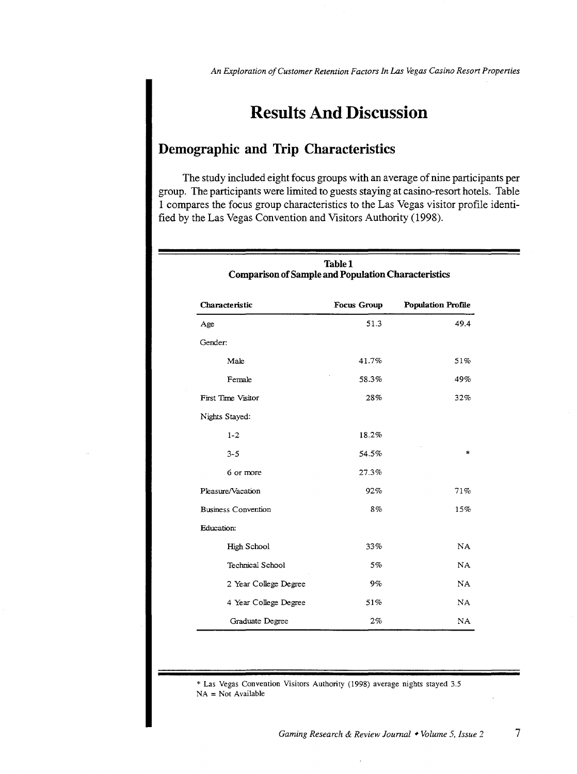## **Results And Discussion**

#### **Demographic and Trip Characteristics**

The study included eight focus groups with an average of nine participants per group. The participants were limited to guests staying at casino-resort hotels. Table 1 compares the focus group characteristics to the Las Vegas visitor profile identified by the Las Vegas Convention and Visitors Authority (1998).

| Table 1<br><b>Comparison of Sample and Population Characteristics</b> |                    |                           |
|-----------------------------------------------------------------------|--------------------|---------------------------|
| Characteristic                                                        | <b>Focus Group</b> | <b>Population Profile</b> |
| Age                                                                   | 51.3               | 49.4                      |
| Gender:                                                               |                    |                           |
| Male                                                                  | 41.7%              | 51%                       |
| Female                                                                | 58.3%              | 49%                       |
| First Time Visitor                                                    | 28%                | 32%                       |
| Nights Stayed:                                                        |                    |                           |
| $1 - 2$                                                               | 18.2%              |                           |
| $3 - 5$                                                               | 54.5%              | $\frac{1}{2}$             |
| 6 or more                                                             | 27.3%              |                           |
| Pleasure/Vacation                                                     | 92%                | 71%                       |
| <b>Business Convention</b>                                            | 8%                 | 15%                       |
| Education:                                                            |                    |                           |
| High School                                                           | 33%                | NA                        |
| Technical School                                                      | 5%                 | NA                        |
| 2 Year College Degree                                                 | 9%                 | <b>NA</b>                 |
| 4 Year College Degree                                                 | 51%                | NA.                       |
| Graduate Degree                                                       | 2%                 | NA                        |

\* Las Vegas Convention Visitors Authority (1998) average nights stayed 3.5  $NA = Not Available$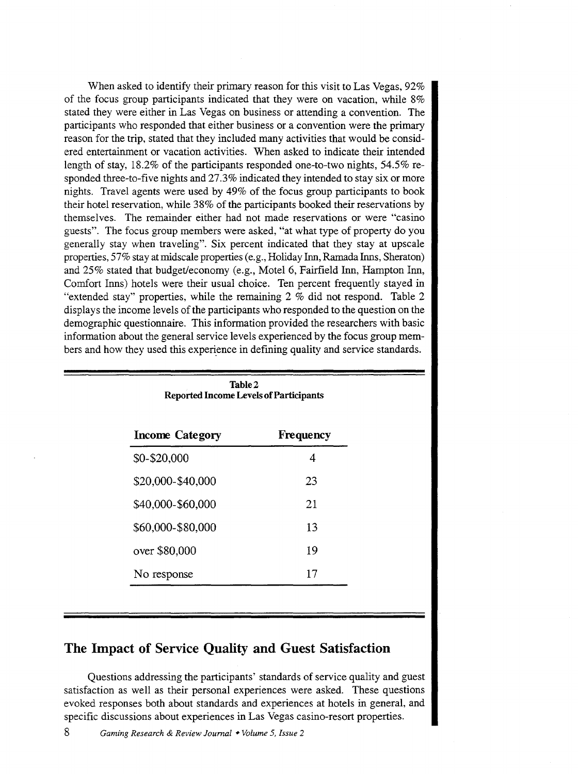When asked to identify their primary reason for this visit to Las Vegas, 92% of the focus group participants indicated that they were on vacation, while 8% stated they were either in Las Vegas on business or attending a convention. The participants who responded that either business or a convention were the primary reason for the trip, stated that they included many activities that would be considered entertainment or vacation activities. When asked to indicate their intended length of stay, 18.2% of the participants responded one-to-two nights, 54.5% responded three-to-five nights and 27.3% indicated they intended to stay six or more nights. Travel agents were used by 49% of the focus group participants to book their hotel reservation, while 38% of the participants booked their reservations by themselves. The remainder either had not made reservations or were "casino guests". The focus group members were asked, "at what type of property do you generally stay when traveling". Six percent indicated that they stay at upscale properties, 57% stay at midscale properties (e.g., Holiday Inn, Ramada Inns, Sheraton) and 25% stated that budget/economy (e.g., Motel6, Fairfield Inn, Hampton Inn, Comfort Inns) hotels were their usual choice. Ten percent frequently stayed in "extended stay" properties, while the remaining 2 % did not respond. Table 2 displays the income levels of the participants who responded to the question on the demographic questionnaire. This information provided the researchers with basic information about the general service levels experienced by the focus group members and how they used this experience in defining quality and service standards.

| Table 2<br><b>Reported Income Levels of Participants</b> |    |  |
|----------------------------------------------------------|----|--|
| <b>Income Category</b><br>Frequency                      |    |  |
| \$0-\$20,000                                             | 4  |  |
| \$20,000-\$40,000                                        | 23 |  |
| \$40,000-\$60,000                                        | 21 |  |
| \$60,000-\$80,000                                        | 13 |  |
| over \$80,000                                            | 19 |  |
| No response                                              | 17 |  |

#### The Impact of Service Quality and Guest Satisfaction

Questions addressing the participants' standards of service quality and guest satisfaction as well as their personal experiences were asked. These questions evoked responses both about standards and experiences at hotels in general, and specific discussions about experiences in Las Vegas casino-resort properties.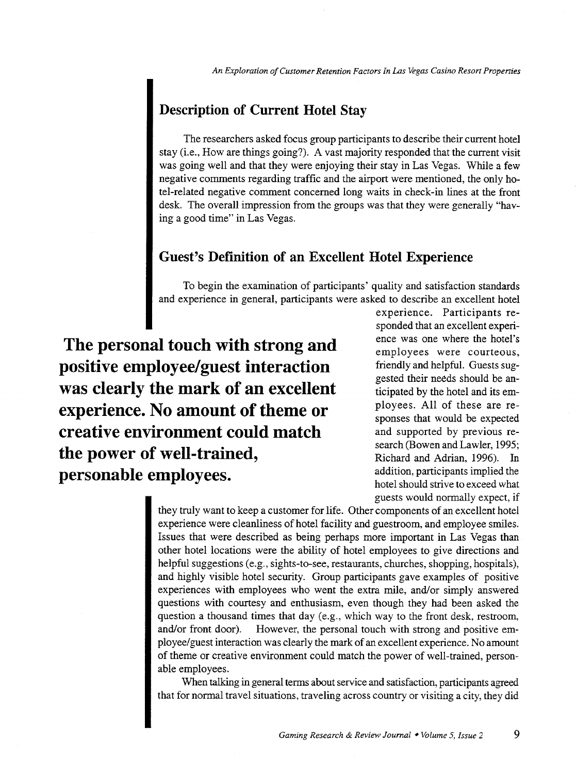*An Exploration of Customer Retention Factors In Las Vegas Casino Resort Properties* 

### **Description of Current Hotel Stay**

The researchers asked focus group participants to describe their current hotel stay (i.e., How are things going?). A vast majority responded that the current visit was going well and that they were enjoying their stay in Las Vegas. While a few negative comments regarding traffic and the airport were mentioned, the only hotel-related negative comment concerned long waits in check-in lines at the front desk. The overall impression from the groups was that they were generally "having a good time" in Las Vegas.

#### **Guest's Definition of an Excellent Hotel Experience**

To begin the examination of participants' quality and satisfaction standards and experience in general, participants were asked to describe an excellent hotel

**The personal touch with strong and positive employee/guest interaction was clearly the mark of an excellent experience. No amount of theme or creative environment could match the power of well-trained, personable employees.** 

experience. Participants responded that an excellent experience was one where the hotel's employees were courteous, friendly and helpful. Guests suggested their needs should be anticipated by the hotel and its employees. All of these are responses that would be expected and supported by previous research (Bowen and Lawler, 1995; Richard and Adrian, 1996). In addition, participants implied the hotel should strive to exceed what guests would normally expect, if

they truly want to keep a customer for life. Other components of an excellent hotel experience were cleanliness of hotel facility and guestroom, and employee smiles. Issues that were described as being perhaps more important in Las Vegas than other hotel locations were the ability of hotel employees to give directions and helpful suggestions (e.g., sights-to-see, restaurants, churches, shopping, hospitals), and highly visible hotel security. Group participants gave examples of positive experiences with employees who went the extra mile, and/or simply answered questions with courtesy and enthusiasm, even though they had been asked the question a thousand times that day (e.g., which way to the front desk, restroom, and/or front door). However, the personal touch with strong and positive employee/guest interaction was clearly the mark of an excellent experience. No amount of theme or creative environment could match the power of well-trained, personable employees.

When talking in general terms about service and satisfaction, participants agreed that for normal travel situations, traveling across country or visiting a city, they did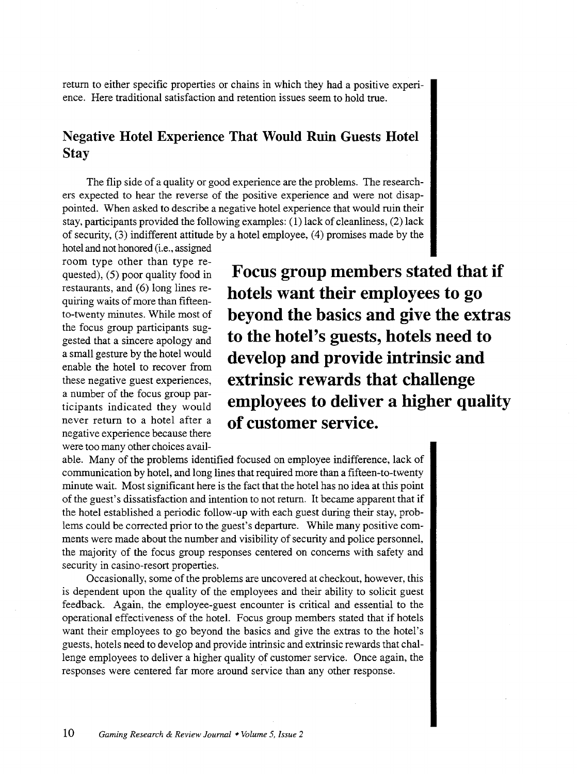return to either specific properties or chains in which they had a positive experience. Here traditional satisfaction and retention issues seem to hold true.

### **Negative Hotel Experience That Would Ruin Guests Hotel Stay**

The flip side of a quality or good experience are the problems. The researchers expected to hear the reverse of the positive experience and were not disappointed. When asked to describe a negative hotel experience that would ruin their stay, participants provided the following examples: (1) lack of cleanliness, (2) lack of security, (3) indifferent attitude by a hotel employee, (4) promises made by the

hotel and not honored (i.e., assigned room type other than type requested), (5) poor quality food in restaurants, and (6) long lines requiring waits of more than fifteento-twenty minutes. While most of the focus group participants suggested that a sincere apology and a small gesture by the hotel would enable the hotel to recover from these negative guest experiences, a number of the focus group participants indicated they would never return to a hotel after a negative experience because there were too many other choices avail-

**Focus group members stated that if hotels want their employees to go beyond the basics and give the extras to the hotel's guests, hotels need to develop and provide intrinsic and extrinsic rewards that challenge employees to deliver a higher quality of customer service.** 

able. Many of the problems identified focused on employee indifference, lack of communication by hotel, and long lines that required more than a fifteen-to-twenty minute wait. Most significant here is the fact that the hotel has no idea at this point of the guest's dissatisfaction and intention to not return. It became apparent that if the hotel established a periodic follow-up with each guest during their stay, problems could be corrected prior to the guest's departure. While many positive comments were made about the number and visibility of security and police personnel, the majority of the focus group responses centered on concerns with safety and security in casino-resort properties.

Occasionally, some of the problems are uncovered at checkout, however, this is dependent upon the quality of the employees and their ability to solicit guest feedback. Again, the employee-guest encounter is critical and essential to the operational effectiveness of the hotel. Focus group members stated that if hotels want their employees to go beyond the basics and give the extras to the hotel's guests, hotels need to develop and provide intrinsic and extrinsic rewards that challenge employees to deliver a higher quality of customer service. Once again, the responses were centered far more around service than any other response.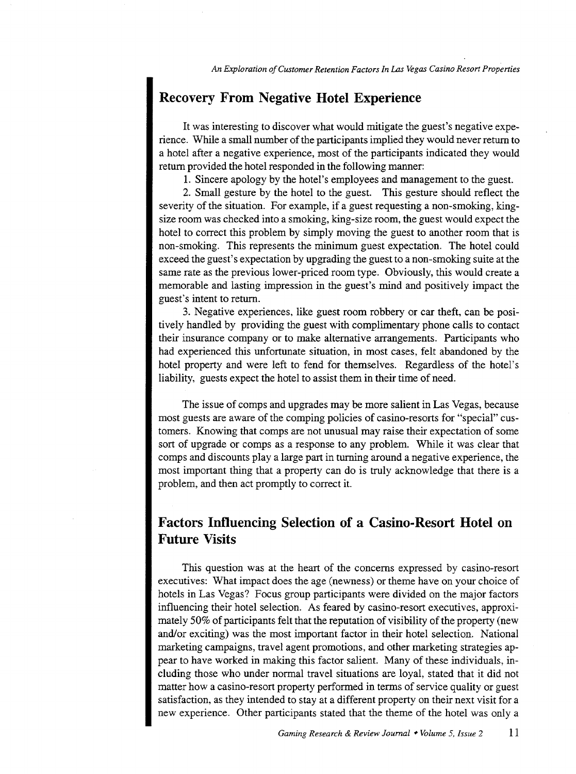### **Recovery From Negative Hotel Experience**

It was interesting to discover what would mitigate the guest's negative experience. While a small number of the participants implied they would never return to a hotel after a negative experience, most of the participants indicated they would return provided the hotel responded in the following manner:

1. Sincere apology by the hotel's employees and management to the guest.

2. Small gesture by the hotel to the guest. This gesture should reflect the severity of the situation. For example, if a guest requesting a non-smoking, kingsize room was checked into a smoking, king-size room, the guest would expect the hotel to correct this problem by simply moving the guest to another room that is non-smoking. This represents the minimum guest expectation. The hotel could exceed the guest's expectation by upgrading the guest to a non-smoking suite at the same rate as the previous lower-priced room type. Obviously, this would create a memorable and lasting impression in the guest's mind and positively impact the guest's intent to return.

3. Negative experiences, like guest room robbery or car theft, can be positively handled by providing the guest with complimentary phone calls to contact their insurance company or to make alternative arrangements. Participants who had experienced this unfortunate situation, in most cases, felt abandoned by the hotel property and were left to fend for themselves. Regardless of the hotel's liability, guests expect the hotel to assist them in their time of need.

The issue of comps and upgrades may be more salient in Las Vegas, because most guests are aware of the comping policies of casino-resorts for "special" customers. Knowing that camps are not unusual may raise their expectation of some sort of upgrade or comps as a response to any problem. While it was clear that camps and discounts play a large part in turning around a negative experience, the most important thing that a property can do is truly acknowledge that there is a problem, and then act promptly to correct it.

### **Factors Influencing Selection of a Casino-Resort Hotel on Future Visits**

This question was at the heart of the concerns expressed by casino-resort executives: What impact does the age (newness) or theme have on your choice of hotels in Las Vegas? Focus group participants were divided on the major factors influencing their hotel selection. As feared by casino-resort executives, approximately 50% of participants felt that the reputation of visibility of the property (new and/or exciting) was the most important factor in their hotel selection. National marketing campaigns, travel agent promotions, and other marketing strategies appear to have worked in making this factor salient. Many of these individuals, including those who under normal travel situations are loyal, stated that it did not matter how a casino-resort property performed in terms of service quality or guest satisfaction, as they intended to stay at a different property on their next visit for a new experience. Other participants stated that the theme of the hotel was only a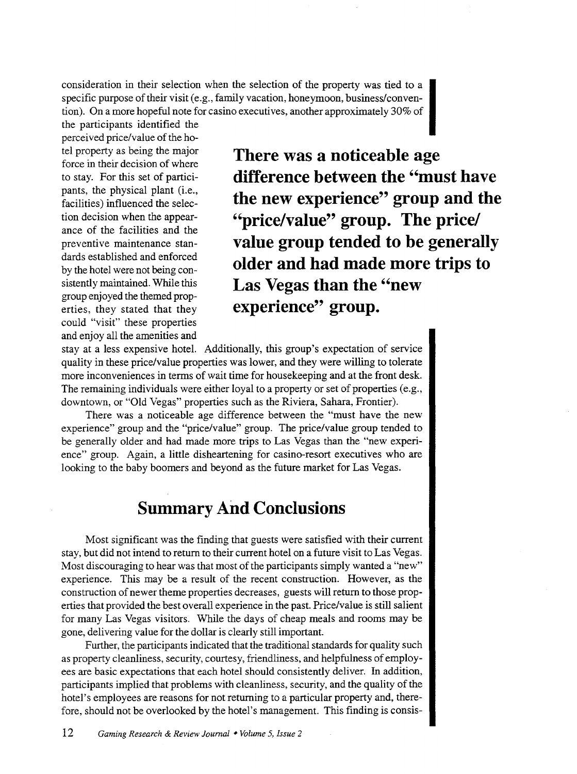consideration in their selection when the selection of the property was tied to a specific purpose of their visit (e.g., family vacation, honeymoon, business/convention). On a more hopeful note for casino executives, another approximately 30% of

the participants identified the perceived price/value of the hopants, the physical plant (i.e., facilities) influenced the selection decision when the appearance of the facilities and the preventive maintenance standards established and enforced by the hotel were not being consistently maintained. While this group enjoyed the themed properties, they stated that they could "visit" these properties and enjoy all the amenities and

tel property as being the major **There was a noticeable age** force in their decision of where to stay. For this set of partici- **difference between the "must have the new experience" group and the "price/value" group. The price/ value group tended to be generally older and had made more trips to Las Vegas than the "new**  experience" group.

stay at a less expensive hotel. Additionally, this group's expectation of service quality in these price/value properties was lower, and they were willing to tolerate more inconveniences in terms of wait time for housekeeping and at the front desk. The remaining individuals were either loyal to a property or set of properties (e.g., downtown, or "Old Vegas" properties such as the Riviera, Sahara, Frontier).

There was a noticeable age difference between the "must have the new experience" group and the "price/value" group. The price/value group tended to be generally older and had made more trips to Las Vegas than the "new experience" group. Again, a little disheartening for casino-resort executives who are looking to the baby boomers and beyond as the future market for Las Vegas.

### **Summary And Conclusions**

Most significant was the finding that guests were satisfied with their current stay, but did not intend to return to their current hotel on a future visit to Las Vegas. Most discouraging to hear was that most of the participants simply wanted a "new" experience. This may be a result of the recent construction. However, as the construction of newer theme properties decreases, guests will return to those properties that provided the best overall experience in the past. Price/value is still salient for many Las Vegas visitors. While the days of cheap meals and rooms may be gone, delivering value for the dollar is clearly still important.

Further, the participants indicated that the traditional standards for quality such as property cleanliness, security, courtesy, friendliness, and helpfulness of employees are basic expectations that each hotel should consistently deliver. In addition, participants implied that problems with cleanliness, security, and the quality of the hotel's employees are reasons for not returning to a particular property and, therefore, should not be overlooked by the hotel's management. This finding is consis-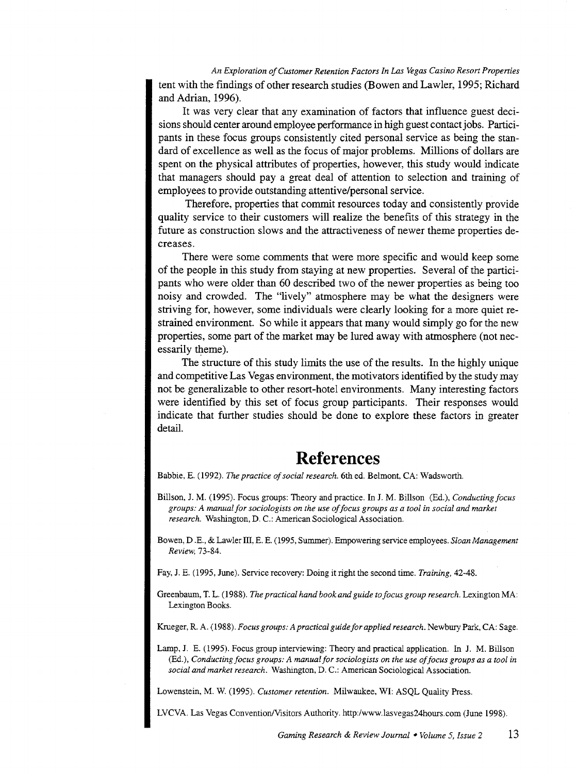*An Exploration of Customer Retention Factors In Las Vegas Casino Resort Properties*  tent with the findings of other research studies (Bowen and Lawler, 1995; Richard and Adrian, 1996).

It was very clear that any examination of factors that influence guest decisions should center around employee performance in high guest contact jobs. Participants in these focus groups consistently cited personal service as being the standard of excellence as well as the focus of major problems. Millions of dollars are spent on the physical attributes of properties, however, this study would indicate that managers should pay a great deal of attention to selection and training of employees to provide outstanding attentive/personal service.

Therefore, properties that commit resources today and consistently provide quality service to their customers will realize the benefits of this strategy in the future as construction slows and the attractiveness of newer theme properties decreases.

There were some comments that were more specific and would keep some of the people in this study from staying at new properties. Several of the participants who were older than 60 described two of the newer properties as being too noisy and crowded. The "lively" atmosphere may be what the designers were striving for, however, some individuals were clearly looking for a more quiet restrained environment. So while it appears that many would simply go for the new properties, some part of the market may be lured away with atmosphere (not necessarily theme).

The structure of this study limits the use of the results. In the highly unique and competitive Las Vegas environment, the motivators identified by the study may not be generalizable to other resort-hotel environments. Many interesting factors were identified by this set of focus group participants. Their responses would indicate that further studies should be done to explore these factors in greater detail.

### **References**

Babbie, E. (1992). *The practice of social research.* 6th ed. Belmont, CA: Wadsworth.

- Hillson, J. M. (1995). Focus groups: Theory and practice. In J. M. Hillson (Ed.), *Conducting focus groups: A manual for sociologists on the use of focus groups as a tool in social and market research.* Washington, D. C.: American Sociological Association.
- Bowen, D .E., & Lawler III, E. E. (1995, Summer). Empowering service employees. *Sloan Management Review,* 73-84.

Fay, J. E. (1995, June). Service recovery: Doing it right the second time. *Training,* 42-48.

Greenbaum, T. L. (1988). *The practical hand book and guide to focus group research.* Lexington MA: Lexington Books.

Krueger, R. A. (1988). *Focus groups: A practical guide for applied research.* Newbury Park, CA: Sage.

Lamp, J. E. (1995). Focus group interviewing: Theory and practical application. In J. M. Hillson (Ed.), *Conducting focus groups: A manual for sociologists on the use of focus groups as a tool in social and market research.* Washington, D. C.: American Sociological Association.

Lowenstein, M. W. (1995). *Customer retention.* Milwaukee, WI: ASQL Quality Press.

LVCVA. Las Vegas Convention/Visitors Authority. http:/www.lasvegas24hours.com (June 1998).